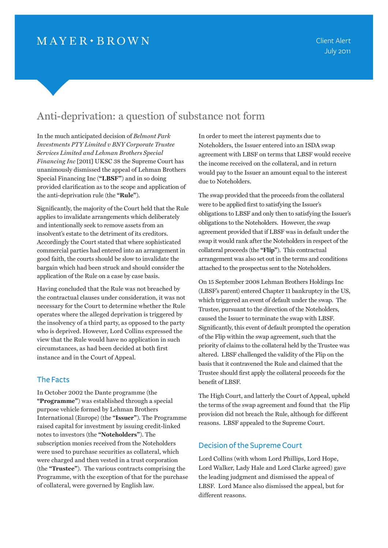# Anti-deprivation: a question of substance not form

In the much anticipated decision of *Belmont Park Investments PTY Limited v BNY Corporate Trustee Services Limited and Lehman Brothers Special Financing Inc* [2011] UKSC 38 the Supreme Court has unanimously dismissed the appeal of Lehman Brothers Special Financing Inc (**"LBSF"**) and in so doing provided clarification as to the scope and application of the anti-deprivation rule (the **"Rule"**).

Significantly, the majority of the Court held that the Rule applies to invalidate arrangements which deliberately and intentionally seek to remove assets from an insolvent's estate to the detriment of its creditors. Accordingly the Court stated that where sophisticated commercial parties had entered into an arrangement in good faith, the courts should be slow to invalidate the bargain which had been struck and should consider the application of the Rule on a case by case basis.

Having concluded that the Rule was not breached by the contractual clauses under consideration, it was not necessary for the Court to determine whether the Rule operates where the alleged deprivation is triggered by the insolvency of a third party, as opposed to the party who is deprived. However, Lord Collins expressed the view that the Rule would have no application in such circumstances, as had been decided at both first instance and in the Court of Appeal.

## The Facts

In October 2002 the Dante programme (the **"Programme"**) was established through a special purpose vehicle formed by Lehman Brothers International (Europe) (the **"Issuer"**). The Programme raised capital for investment by issuing credit-linked notes to investors (the **"Noteholders"**). The subscription monies received from the Noteholders were used to purchase securities as collateral, which were charged and then vested in a trust corporation (the **"Trustee"**). The various contracts comprising the Programme, with the exception of that for the purchase of collateral, were governed by English law.

In order to meet the interest payments due to Noteholders, the Issuer entered into an ISDA swap agreement with LBSF on terms that LBSF would receive the income received on the collateral, and in return would pay to the Issuer an amount equal to the interest due to Noteholders.

The swap provided that the proceeds from the collateral were to be applied first to satisfying the Issuer's obligations to LBSF and only then to satisfying the Issuer's obligations to the Noteholders. However, the swap agreement provided that if LBSF was in default under the swap it would rank after the Noteholders in respect of the collateral proceeds (the **"Flip"**). This contractual arrangement was also set out in the terms and conditions attached to the prospectus sent to the Noteholders.

On 15 September 2008 Lehman Brothers Holdings Inc (LBSF's parent) entered Chapter 11 bankruptcy in the US, which triggered an event of default under the swap. The Trustee, pursuant to the direction of the Noteholders, caused the Issuer to terminate the swap with LBSF. Significantly, this event of default prompted the operation of the Flip within the swap agreement, such that the priority of claims to the collateral held by the Trustee was altered. LBSF challenged the validity of the Flip on the basis that it contravened the Rule and claimed that the Trustee should first apply the collateral proceeds for the benefit of LBSF.

The High Court, and latterly the Court of Appeal, upheld the terms of the swap agreement and found that the Flip provision did not breach the Rule, although for different reasons. LBSF appealed to the Supreme Court.

# Decision of the Supreme Court

Lord Collins (with whom Lord Phillips, Lord Hope, Lord Walker, Lady Hale and Lord Clarke agreed) gave the leading judgment and dismissed the appeal of LBSF. Lord Mance also dismissed the appeal, but for different reasons.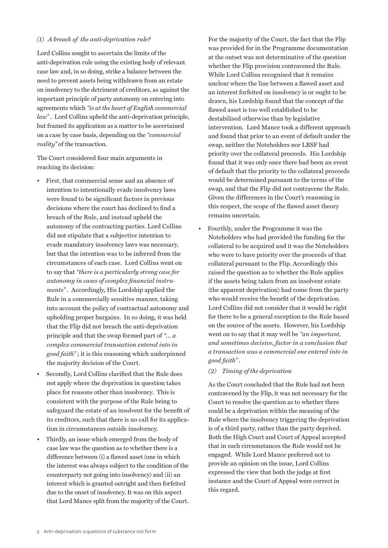### *(1) A breach of the anti-deprivation rule?*

Lord Collins sought to ascertain the limits of the anti-deprivation rule using the existing body of relevant case law and, in so doing, strike a balance between the need to prevent assets being withdrawn from an estate on insolvency to the detriment of creditors, as against the important principle of party autonomy on entering into agreements which *"is at the heart of English commercial law"* . Lord Collins upheld the anti-deprivation principle, but framed its application as a matter to be ascertained on a case by case basis, depending on the *"commercial reality"* of the transaction.

The Court considered four main arguments in reaching its decision:

- First, that commercial sense and an absence of intention to intentionally evade insolvency laws were found to be significant factors in previous decisions where the court has declined to find a breach of the Rule, and instead upheld the autonomy of the contracting parties. Lord Collins did not stipulate that a subjective intention to evade mandatory insolvency laws was necessary, but that the intention was to be inferred from the circumstances of each case. Lord Collins went on to say that *"there is a particularly strong case for autonomy in cases of complex financial instruments" .* Accordingly, His Lordship applied the Rule in a commercially sensitive manner, taking into account the policy of contractual autonomy and upholding proper bargains. In so doing, it was held that the Flip did not breach the anti-deprivation principle and that the swap formed part of *"… a complex commercial transaction entered into in good faith"* ; it is this reasoning which underpinned the majority decision of the Court.
- Secondly, Lord Collins clarified that the Rule does not apply where the deprivation in question takes place for reasons other than insolvency. This is consistent with the purpose of the Rule being to safeguard the estate of an insolvent for the benefit of its creditors, such that there is no call for its application in circumstances outside insolvency.
- Thirdly, an issue which emerged from the body of case law was the question as to whether there is a difference between (i) a flawed asset (one in which the interest was always subject to the condition of the counterparty not going into insolvency) and (ii) an interest which is granted outright and then forfeited due to the onset of insolvency. It was on this aspect that Lord Mance split from the majority of the Court.

For the majority of the Court, the fact that the Flip was provided for in the Programme documentation at the outset was not determinative of the question whether the Flip provision contravened the Rule. While Lord Collins recognised that it remains unclear where the line between a flawed asset and an interest forfeited on insolvency is or ought to be drawn, his Lordship found that the concept of the flawed asset is too well established to be destabilised otherwise than by legislative intervention. Lord Mance took a different approach and found that prior to an event of default under the swap, neither the Noteholders nor LBSF had priority over the collateral proceeds. His Lordship found that it was only once there had been an event of default that the priority to the collateral proceeds would be determined pursuant to the terms of the swap, and that the Flip did not contravene the Rule. Given the differences in the Court's reasoning in this respect, the scope of the flawed asset theory remains uncertain.

• Fourthly, under the Programme it was the Noteholders who had provided the funding for the collateral to be acquired and it was the Noteholders who were to have priority over the proceeds of that collateral pursuant to the Flip. Accordingly this raised the question as to whether the Rule applies if the assets being taken from an insolvent estate (the apparent deprivation) had come from the party who would receive the benefit of the deprivation. Lord Collins did not consider that it would be right for there to be a general exception to the Rule based on the source of the assets. However, his Lordship went on to say that it may well be *"an important, and sometimes decisive, factor in a conclusion that a transaction was a commercial one entered into in good faith"* .

#### *(2) Timing of the deprivation*

As the Court concluded that the Rule had not been contravened by the Flip, it was not necessary for the Court to resolve the question as to whether there could be a deprivation within the meaning of the Rule where the insolvency triggering the deprivation is of a third party, rather than the party deprived. Both the High Court and Court of Appeal accepted that in such circumstances the Rule would not be engaged. While Lord Mance preferred not to provide an opinion on the issue, Lord Collins expressed the view that both the judge at first instance and the Court of Appeal were correct in this regard.